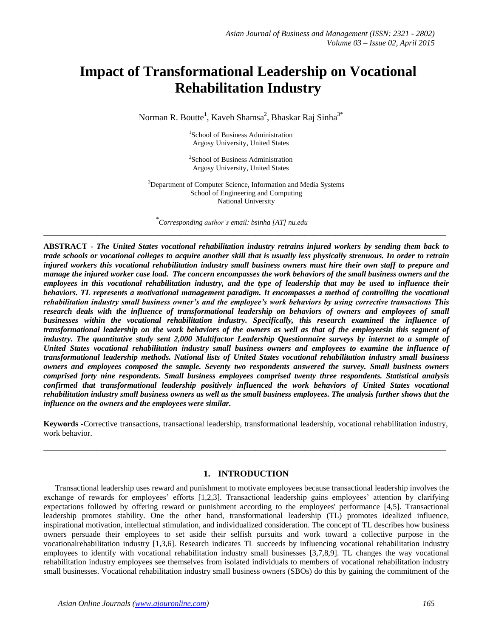# **Impact of Transformational Leadership on Vocational Rehabilitation Industry**

Norman R. Boutte<sup>1</sup>, Kaveh Shamsa<sup>2</sup>, Bhaskar Raj Sinha<sup>3\*</sup>

<sup>1</sup>School of Business Administration Argosy University, United States

<sup>2</sup>School of Business Administration Argosy University, United States

<sup>3</sup>Department of Computer Science, Information and Media Systems School of Engineering and Computing National University

**\_\_\_\_\_\_\_\_\_\_\_\_\_\_\_\_\_\_\_\_\_\_\_\_\_\_\_\_\_\_\_\_\_\_\_\_\_\_\_\_\_\_\_\_\_\_\_\_\_\_\_\_\_\_\_\_\_\_\_\_\_\_\_\_\_\_\_\_\_\_\_\_\_\_\_\_\_\_\_\_\_\_\_\_\_\_\_\_\_\_\_**

*\* Corresponding author's email: bsinha [AT] nu.edu*

**ABSTRACT -** *The United States vocational rehabilitation industry retrains injured workers by sending them back to trade schools or vocational colleges to acquire another skill that is usually less physically strenuous. In order to retrain injured workers this vocational rehabilitation industry small business owners must hire their own staff to prepare and manage the injured worker case load. The concern encompasses the work behaviors of the small business owners and the employees in this vocational rehabilitation industry, and the type of leadership that may be used to influence their behaviors. TL represents a motivational management paradigm. It encompasses a method of controlling the vocational rehabilitation industry small business owner's and the employee's work behaviors by using corrective transactions This research deals with the influence of transformational leadership on behaviors of owners and employees of small businesses within the vocational rehabilitation industry. Specifically, this research examined the influence of transformational leadership on the work behaviors of the owners as well as that of the employeesin this segment of industry. The quantitative study sent 2,000 Multifactor Leadership Questionnaire surveys by internet to a sample of United States vocational rehabilitation industry small business owners and employees to examine the influence of transformational leadership methods. National lists of United States vocational rehabilitation industry small business owners and employees composed the sample. Seventy two respondents answered the survey. Small business owners comprised forty nine respondents. Small business employees comprised twenty three respondents. Statistical analysis*  confirmed that transformational leadership positively influenced the work behaviors of United States vocational *rehabilitation industry small business owners as well as the small business employees. The analysis further shows that the influence on the owners and the employees were similar.* 

**Keywords -**Corrective transactions, transactional leadership, transformational leadership, vocational rehabilitation industry, work behavior.

**\_\_\_\_\_\_\_\_\_\_\_\_\_\_\_\_\_\_\_\_\_\_\_\_\_\_\_\_\_\_\_\_\_\_\_\_\_\_\_\_\_\_\_\_\_\_\_\_\_\_\_\_\_\_\_\_\_\_\_\_\_\_\_\_\_\_\_\_\_\_\_\_\_\_\_\_\_\_\_\_\_\_\_\_\_\_\_\_\_\_\_**

## **1. INTRODUCTION**

Transactional leadership uses reward and punishment to motivate employees because transactional leadership involves the exchange of rewards for employees' efforts [1,2,3]. Transactional leadership gains employees' attention by clarifying expectations followed by offering reward or punishment according to the employees' performance [4,5]. Transactional leadership promotes stability. One the other hand, transformational leadership (TL) promotes idealized influence, inspirational motivation, intellectual stimulation, and individualized consideration. The concept of TL describes how business owners persuade their employees to set aside their selfish pursuits and work toward a collective purpose in the vocationalrehabilitation industry [1,3,6]. Research indicates TL succeeds by influencing vocational rehabilitation industry employees to identify with vocational rehabilitation industry small businesses [3,7,8,9]. TL changes the way vocational rehabilitation industry employees see themselves from isolated individuals to members of vocational rehabilitation industry small businesses. Vocational rehabilitation industry small business owners (SBOs) do this by gaining the commitment of the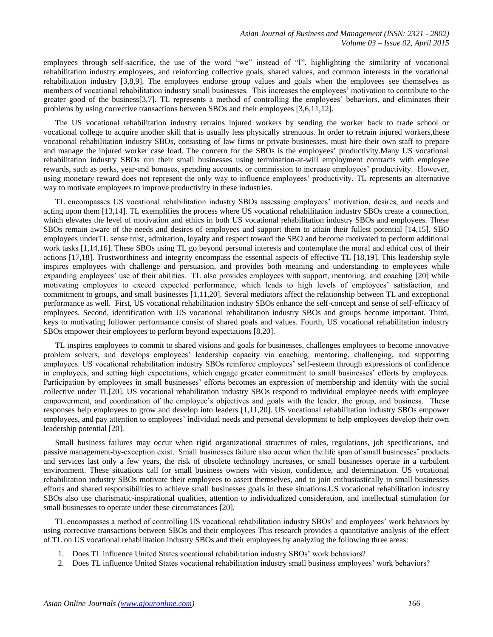employees through self-sacrifice, the use of the word "we" instead of "I", highlighting the similarity of vocational rehabilitation industry employees, and reinforcing collective goals, shared values, and common interests in the vocational rehabilitation industry [3,8,9]. The employees endorse group values and goals when the employees see themselves as members of vocational rehabilitation industry small businesses. This increases the employees' motivation to contribute to the greater good of the business[3,7]. TL represents a method of controlling the employees' behaviors, and eliminates their problems by using corrective transactions between SBOs and their employees [3,6,11,12].

The US vocational rehabilitation industry retrains injured workers by sending the worker back to trade school or vocational college to acquire another skill that is usually less physically strenuous. In order to retrain injured workers,these vocational rehabilitation industry SBOs, consisting of law firms or private businesses, must hire their own staff to prepare and manage the injured worker case load. The concern for the SBOs is the employees' productivity.Many US vocational rehabilitation industry SBOs run their small businesses using termination-at-will employment contracts with employee rewards, such as perks, year-end bonuses, spending accounts, or commission to increase employees' productivity. However, using monetary reward does not represent the only way to influence employees' productivity. TL represents an alternative way to motivate employees to improve productivity in these industries.

TL encompasses US vocational rehabilitation industry SBOs assessing employees' motivation, desires, and needs and acting upon them [13,14]. TL exemplifies the process where US vocational rehabilitation industry SBOs create a connection, which elevates the level of motivation and ethics in both US vocational rehabilitation industry SBOs and employees. These SBOs remain aware of the needs and desires of employees and support them to attain their fullest potential [14,15]. SBO employees underTL sense trust, admiration, loyalty and respect toward the SBO and become motivated to perform additional work tasks [1,14,16]. These SBOs using TL go beyond personal interests and contemplate the moral and ethical cost of their actions [17,18]. Trustworthiness and integrity encompass the essential aspects of effective TL [18,19]. This leadership style inspires employees with challenge and persuasion, and provides both meaning and understanding to employees while expanding employees' use of their abilities. TL also provides employees with support, mentoring, and coaching [20] while motivating employees to exceed expected performance, which leads to high levels of employees' satisfaction, and commitment to groups, and small businesses [1,11,20]. Several mediators affect the relationship between TL and exceptional performance as well. First, US vocational rehabilitation industry SBOs enhance the self-concept and sense of self-efficacy of employees. Second, identification with US vocational rehabilitation industry SBOs and groups become important. Third, keys to motivating follower performance consist of shared goals and values. Fourth, US vocational rehabilitation industry SBOs empower their employees to perform beyond expectations [8,20].

TL inspires employees to commit to shared visions and goals for businesses, challenges employees to become innovative problem solvers, and develops employees' leadership capacity via coaching, mentoring, challenging, and supporting employees. US vocational rehabilitation industry SBOs reinforce employees' self-esteem through expressions of confidence in employees, and setting high expectations, which engage greater commitment to small businesses' efforts by employees. Participation by employees in small businesses' efforts becomes an expression of membership and identity with the social collective under TL[20]. US vocational rehabilitation industry SBOs respond to individual employee needs with employee empowerment, and coordination of the employee's objectives and goals with the leader, the group, and business. These responses help employees to grow and develop into leaders [1,11,20]. US vocational rehabilitation industry SBOs empower employees, and pay attention to employees' individual needs and personal development to help employees develop their own leadership potential [20].

Small business failures may occur when rigid organizational structures of rules, regulations, job specifications, and passive management-by-exception exist. Small businesses failure also occur when the life span of small businesses' products and services last only a few years, the risk of obsolete technology increases, or small businesses operate in a turbulent environment. These situations call for small business owners with vision, confidence, and determination. US vocational rehabilitation industry SBOs motivate their employees to assert themselves, and to join enthusiastically in small businesses efforts and shared responsibilities to achieve small businesses goals in these situations.US vocational rehabilitation industry SBOs also use charismatic-inspirational qualities, attention to individualized consideration, and intellectual stimulation for small businesses to operate under these circumstances [20].

TL encompasses a method of controlling US vocational rehabilitation industry SBOs' and employees' work behaviors by using corrective transactions between SBOs and their employees This research provides a quantitative analysis of the effect of TL on US vocational rehabilitation industry SBOs and their employees by analyzing the following three areas:

- 1. Does TL influence United States vocational rehabilitation industry SBOs' work behaviors?
- 2. Does TL influence United States vocational rehabilitation industry small business employees' work behaviors?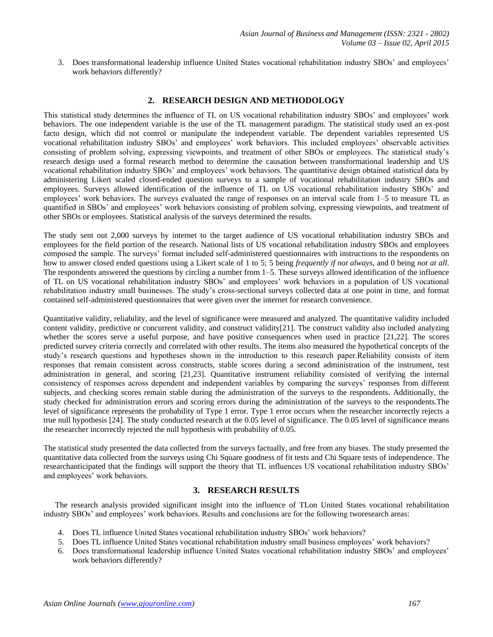3. Does transformational leadership influence United States vocational rehabilitation industry SBOs' and employees' work behaviors differently?

## **2. RESEARCH DESIGN AND METHODOLOGY**

This statistical study determines the influence of TL on US vocational rehabilitation industry SBOs' and employees' work behaviors. The one independent variable is the use of the TL management paradigm. The statistical study used an ex-post facto design, which did not control or manipulate the independent variable. The dependent variables represented US vocational rehabilitation industry SBOs' and employees' work behaviors. This included employees' observable activities consisting of problem solving, expressing viewpoints, and treatment of other SBOs or employees. The statistical study's research design used a formal research method to determine the causation between transformational leadership and US vocational rehabilitation industry SBOs' and employees' work behaviors. The quantitative design obtained statistical data by administering Likert scaled closed-ended question surveys to a sample of vocational rehabilitation industry SBOs and employees. Surveys allowed identification of the influence of TL on US vocational rehabilitation industry SBOs' and employees' work behaviors. The surveys evaluated the range of responses on an interval scale from 1–5 to measure TL as quantified in SBOs' and employees' work behaviors consisting of problem solving, expressing viewpoints, and treatment of other SBOs or employees. Statistical analysis of the surveys determined the results.

The study sent out 2,000 surveys by internet to the target audience of US vocational rehabilitation industry SBOs and employees for the field portion of the research. National lists of US vocational rehabilitation industry SBOs and employees composed the sample. The surveys' format included self-administered questionnaires with instructions to the respondents on how to answer closed ended questions using a Likert scale of 1 to 5; 5 being *frequently if not always*, and 0 being *not at all*. The respondents answered the questions by circling a number from 1–5. These surveys allowed identification of the influence of TL on US vocational rehabilitation industry SBOs' and employees' work behaviors in a population of US vocational rehabilitation industry small businesses. The study's cross-sectional surveys collected data at one point in time, and format contained self-administered questionnaires that were given over the internet for research convenience.

Quantitative validity, reliability, and the level of significance were measured and analyzed. The quantitative validity included content validity, predictive or concurrent validity, and construct validity[21]. The construct validity also included analyzing whether the scores serve a useful purpose, and have positive consequences when used in practice [21,22]. The scores predicted survey criteria correctly and correlated with other results. The items also measured the hypothetical concepts of the study's research questions and hypotheses shown in the introduction to this research paper.Reliability consists of item responses that remain consistent across constructs, stable scores during a second administration of the instrument, test administration in general, and scoring [21,23]. Quantitative instrument reliability consisted of verifying the internal consistency of responses across dependent and independent variables by comparing the surveys' responses from different subjects, and checking scores remain stable during the administration of the surveys to the respondents. Additionally, the study checked for administration errors and scoring errors during the administration of the surveys to the respondents.The level of significance represents the probability of Type 1 error. Type 1 error occurs when the researcher incorrectly rejects a true null hypothesis [24]. The study conducted research at the 0.05 level of significance. The 0.05 level of significance means the researcher incorrectly rejected the null hypothesis with probability of 0.05.

The statistical study presented the data collected from the surveys factually, and free from any biases. The study presented the quantitative data collected from the surveys using Chi Square goodness of fit tests and Chi Square tests of independence. The researchanticipated that the findings will support the theory that TL influences US vocational rehabilitation industry SBOs' and employees' work behaviors.

## **3. RESEARCH RESULTS**

The research analysis provided significant insight into the influence of TLon United States vocational rehabilitation industry SBOs' and employees' work behaviors. Results and conclusions are for the following tworesearch areas:

- 4. Does TL influence United States vocational rehabilitation industry SBOs' work behaviors?
- 5. Does TL influence United States vocational rehabilitation industry small business employees' work behaviors?
- 6. Does transformational leadership influence United States vocational rehabilitation industry SBOs' and employees' work behaviors differently?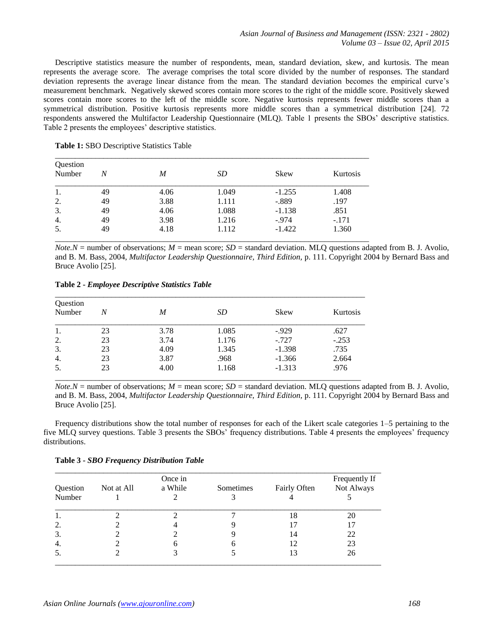Descriptive statistics measure the number of respondents, mean, standard deviation, skew, and kurtosis. The mean represents the average score. The average comprises the total score divided by the number of responses. The standard deviation represents the average linear distance from the mean. The standard deviation becomes the empirical curve's measurement benchmark. Negatively skewed scores contain more scores to the right of the middle score. Positively skewed scores contain more scores to the left of the middle score. Negative kurtosis represents fewer middle scores than a symmetrical distribution. Positive kurtosis represents more middle scores than a symmetrical distribution [24]. 72 respondents answered the Multifactor Leadership Questionnaire (MLQ). Table 1 presents the SBOs' descriptive statistics. Table 2 presents the employees' descriptive statistics.

|  |  |  | Table 1: SBO Descriptive Statistics Table |
|--|--|--|-------------------------------------------|
|--|--|--|-------------------------------------------|

| Question<br>Number | N  | M    | SD    | Skew     | Kurtosis |
|--------------------|----|------|-------|----------|----------|
| 1.                 | 49 | 4.06 | 1.049 | $-1.255$ | 1.408    |
| 2.                 | 49 | 3.88 | 1.111 | $-.889$  | .197     |
| 3.                 | 49 | 4.06 | 1.088 | $-1.138$ | .851     |
| 4.                 | 49 | 3.98 | 1.216 | $-.974$  | $-.171$  |
| 5.                 | 49 | 4.18 | 1.112 | $-1.422$ | 1.360    |

*Note.N* = number of observations;  $M$  = mean score;  $SD$  = standard deviation. MLQ questions adapted from B. J. Avolio, and B. M. Bass, 2004, *Multifactor Leadership Questionnaire, Third Edition,* p. 111. Copyright 2004 by Bernard Bass and Bruce Avolio [25].

**Table 2 -** *Employee Descriptive Statistics Table*

| Question<br>Number | N  | M    | SD    | Skew     | Kurtosis |
|--------------------|----|------|-------|----------|----------|
| 1.                 | 23 | 3.78 | 1.085 | $-0.929$ | .627     |
| 2.                 | 23 | 3.74 | 1.176 | $-.727$  | $-.253$  |
| 3.                 | 23 | 4.09 | 1.345 | $-1.398$ | .735     |
| 4.                 | 23 | 3.87 | .968  | $-1.366$ | 2.664    |
| 5.                 | 23 | 4.00 | 1.168 | $-1.313$ | .976     |

*Note.N* = number of observations;  $M$  = mean score;  $SD$  = standard deviation. MLO questions adapted from B. J. Avolio, and B. M. Bass, 2004, *Multifactor Leadership Questionnaire, Third Edition,* p. 111. Copyright 2004 by Bernard Bass and Bruce Avolio [25].

Frequency distributions show the total number of responses for each of the Likert scale categories 1–5 pertaining to the five MLQ survey questions. Table 3 presents the SBOs' frequency distributions. Table 4 presents the employees' frequency distributions.

| <b>Table 3 - SBO Frequency Distribution Table</b> |  |
|---------------------------------------------------|--|
|---------------------------------------------------|--|

|          | Once in    |         |           |              | Frequently If |
|----------|------------|---------|-----------|--------------|---------------|
| Question | Not at All | a While | Sometimes | Fairly Often | Not Always    |
| Number   |            |         |           |              |               |
| 1.       |            |         |           | 18           | 20            |
| 2.       |            |         |           |              |               |
| 3.       |            |         |           | 14           | 22            |
| 4.       |            |         | h         | 12           | 23            |
| 5.       |            |         |           | 13           | 26            |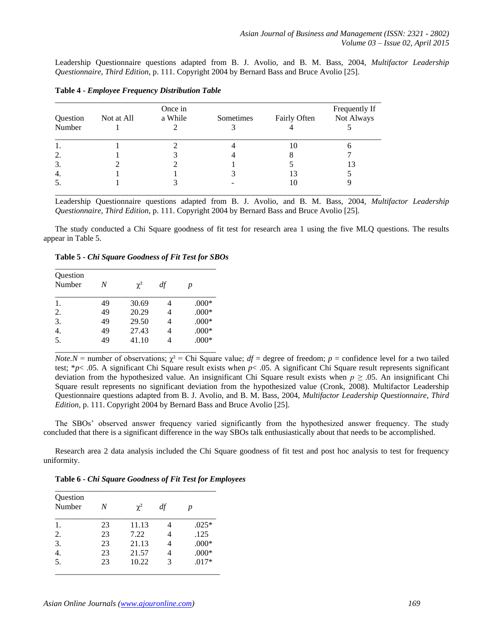Leadership Questionnaire questions adapted from B. J. Avolio, and B. M. Bass, 2004, *Multifactor Leadership Questionnaire, Third Edition,* p. 111. Copyright 2004 by Bernard Bass and Bruce Avolio [25].

|          | Once in    |         |           | Frequently If |            |  |
|----------|------------|---------|-----------|---------------|------------|--|
| Question | Not at All | a While | Sometimes | Fairly Often  | Not Always |  |
| Number   |            |         |           |               |            |  |
|          |            |         |           | 10            |            |  |
| 2.       |            |         |           |               |            |  |
| 3.       |            |         |           |               | 13         |  |
| 4.       |            |         |           |               |            |  |
| - 5.     |            |         |           | 10            |            |  |

**Table 4 -** *Employee Frequency Distribution Table*

Leadership Questionnaire questions adapted from B. J. Avolio, and B. M. Bass, 2004, *Multifactor Leadership Questionnaire, Third Edition,* p. 111. Copyright 2004 by Bernard Bass and Bruce Avolio [25].

The study conducted a Chi Square goodness of fit test for research area 1 using the five MLQ questions. The results appear in Table 5.

**Table 5 -** *Chi Square Goodness of Fit Test for SBOs*

| Question<br>Number | N  | $\chi^2$ | df | p       |
|--------------------|----|----------|----|---------|
| 1.                 | 49 | 30.69    | 4  | $.000*$ |
| 2.                 | 49 | 20.29    | 4  | $.000*$ |
| $\overline{3}$ .   | 49 | 29.50    |    | $.000*$ |
| $\overline{4}$ .   | 49 | 27.43    |    | $.000*$ |
| $\overline{5}$ .   | 49 | 41.10    |    | $.000*$ |

*Note.N* = number of observations;  $\chi^2$  = Chi Square value;  $df$  = degree of freedom;  $p$  = confidence level for a two tailed test; \**p*< .05. A significant Chi Square result exists when *p*< .05. A significant Chi Square result represents significant deviation from the hypothesized value. An insignificant Chi Square result exists when *p ≥* .05. An insignificant Chi Square result represents no significant deviation from the hypothesized value (Cronk, 2008). Multifactor Leadership Questionnaire questions adapted from B. J. Avolio, and B. M. Bass, 2004, *Multifactor Leadership Questionnaire, Third Edition,* p. 111. Copyright 2004 by Bernard Bass and Bruce Avolio [25].

The SBOs' observed answer frequency varied significantly from the hypothesized answer frequency. The study concluded that there is a significant difference in the way SBOs talk enthusiastically about that needs to be accomplished.

Research area 2 data analysis included the Chi Square goodness of fit test and post hoc analysis to test for frequency uniformity.

**Table 6 -** *Chi Square Goodness of Fit Test for Employees*

| N  | $\chi^2$ | df | p       |
|----|----------|----|---------|
| 23 | 11.13    | 4  | $.025*$ |
| 23 | 7.22     | 4  | .125    |
| 23 | 21.13    | 4  | $.000*$ |
| 23 | 21.57    | 4  | $.000*$ |
| 23 | 10.22    | 3  | $.017*$ |
|    |          |    |         |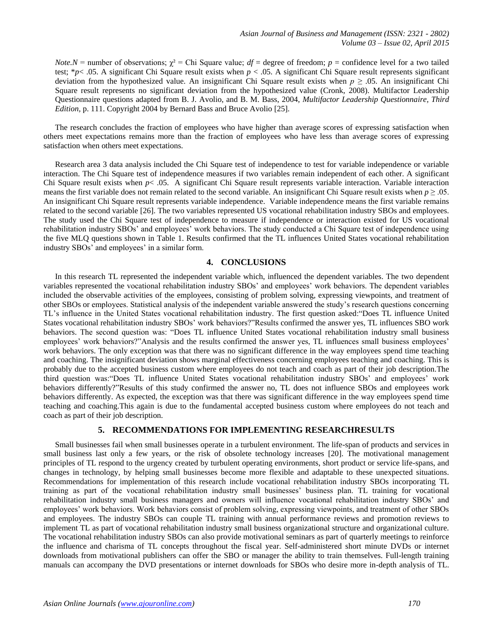*Note.N* = number of observations;  $\chi^2$  = Chi Square value;  $df$  = degree of freedom;  $p$  = confidence level for a two tailed test; \**p*< .05. A significant Chi Square result exists when *p* < .05. A significant Chi Square result represents significant deviation from the hypothesized value. An insignificant Chi Square result exists when *p ≥* .05. An insignificant Chi Square result represents no significant deviation from the hypothesized value (Cronk, 2008). Multifactor Leadership Questionnaire questions adapted from B. J. Avolio, and B. M. Bass, 2004, *Multifactor Leadership Questionnaire, Third Edition,* p. 111. Copyright 2004 by Bernard Bass and Bruce Avolio [25].

The research concludes the fraction of employees who have higher than average scores of expressing satisfaction when others meet expectations remains more than the fraction of employees who have less than average scores of expressing satisfaction when others meet expectations.

Research area 3 data analysis included the Chi Square test of independence to test for variable independence or variable interaction. The Chi Square test of independence measures if two variables remain independent of each other. A significant Chi Square result exists when *p*< .05. A significant Chi Square result represents variable interaction. Variable interaction means the first variable does not remain related to the second variable. An insignificant Chi Square result exists when  $p \ge 0.05$ . An insignificant Chi Square result represents variable independence. Variable independence means the first variable remains related to the second variable [26]. The two variables represented US vocational rehabilitation industry SBOs and employees. The study used the Chi Square test of independence to measure if independence or interaction existed for US vocational rehabilitation industry SBOs' and employees' work behaviors. The study conducted a Chi Square test of independence using the five MLQ questions shown in Table 1. Results confirmed that the TL influences United States vocational rehabilitation industry SBOs' and employees' in a similar form.

#### **4. CONCLUSIONS**

In this research TL represented the independent variable which, influenced the dependent variables. The two dependent variables represented the vocational rehabilitation industry SBOs' and employees' work behaviors. The dependent variables included the observable activities of the employees, consisting of problem solving, expressing viewpoints, and treatment of other SBOs or employees. Statistical analysis of the independent variable answered the study's research questions concerning TL's influence in the United States vocational rehabilitation industry. The first question asked:"Does TL influence United States vocational rehabilitation industry SBOs' work behaviors?"Results confirmed the answer yes, TL influences SBO work behaviors. The second question was: "Does TL influence United States vocational rehabilitation industry small business employees' work behaviors?"Analysis and the results confirmed the answer yes, TL influences small business employees' work behaviors. The only exception was that there was no significant difference in the way employees spend time teaching and coaching. The insignificant deviation shows marginal effectiveness concerning employees teaching and coaching. This is probably due to the accepted business custom where employees do not teach and coach as part of their job description.The third question was:"Does TL influence United States vocational rehabilitation industry SBOs' and employees' work behaviors differently?"Results of this study confirmed the answer no, TL does not influence SBOs and employees work behaviors differently. As expected, the exception was that there was significant difference in the way employees spend time teaching and coaching.This again is due to the fundamental accepted business custom where employees do not teach and coach as part of their job description.

#### **5. RECOMMENDATIONS FOR IMPLEMENTING RESEARCHRESULTS**

Small businesses fail when small businesses operate in a turbulent environment. The life-span of products and services in small business last only a few years, or the risk of obsolete technology increases [20]. The motivational management principles of TL respond to the urgency created by turbulent operating environments, short product or service life-spans, and changes in technology, by helping small businesses become more flexible and adaptable to these unexpected situations. Recommendations for implementation of this research include vocational rehabilitation industry SBOs incorporating TL training as part of the vocational rehabilitation industry small businesses' business plan. TL training for vocational rehabilitation industry small business managers and owners will influence vocational rehabilitation industry SBOs' and employees' work behaviors. Work behaviors consist of problem solving, expressing viewpoints, and treatment of other SBOs and employees. The industry SBOs can couple TL training with annual performance reviews and promotion reviews to implement TL as part of vocational rehabilitation industry small business organizational structure and organizational culture. The vocational rehabilitation industry SBOs can also provide motivational seminars as part of quarterly meetings to reinforce the influence and charisma of TL concepts throughout the fiscal year. Self-administered short minute DVDs or internet downloads from motivational publishers can offer the SBO or manager the ability to train themselves. Full-length training manuals can accompany the DVD presentations or internet downloads for SBOs who desire more in-depth analysis of TL.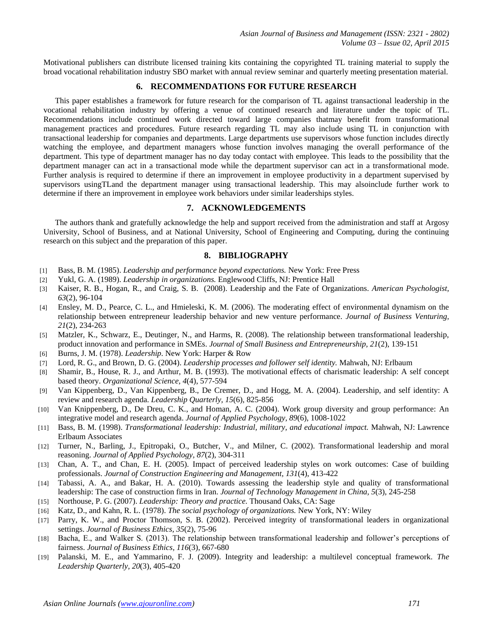Motivational publishers can distribute licensed training kits containing the copyrighted TL training material to supply the broad vocational rehabilitation industry SBO market with annual review seminar and quarterly meeting presentation material.

## **6. RECOMMENDATIONS FOR FUTURE RESEARCH**

This paper establishes a framework for future research for the comparison of TL against transactional leadership in the vocational rehabilitation industry by offering a venue of continued research and literature under the topic of TL. Recommendations include continued work directed toward large companies thatmay benefit from transformational management practices and procedures. Future research regarding TL may also include using TL in conjunction with transactional leadership for companies and departments. Large departments use supervisors whose function includes directly watching the employee, and department managers whose function involves managing the overall performance of the department. This type of department manager has no day today contact with employee. This leads to the possibility that the department manager can act in a transactional mode while the department supervisor can act in a transformational mode. Further analysis is required to determine if there an improvement in employee productivity in a department supervised by supervisors usingTLand the department manager using transactional leadership. This may alsoinclude further work to determine if there an improvement in employee work behaviors under similar leaderships styles.

## **7. ACKNOWLEDGEMENTS**

The authors thank and gratefully acknowledge the help and support received from the administration and staff at Argosy University, School of Business, and at National University, School of Engineering and Computing, during the continuing research on this subject and the preparation of this paper.

#### **8. BIBLIOGRAPHY**

- [1] Bass, B. M. (1985). *Leadership and performance beyond expectations.* New York: Free Press
- [2] Yukl, G. A. (1989). *Leadership in organizations.* Englewood Cliffs, NJ: Prentice Hall
- [3] Kaiser, R. B., Hogan, R., and Craig, S. B. (2008). Leadership and the Fate of Organizations. *American Psychologist, 63*(2), 96-104
- [4] Ensley, M. D., Pearce, C. L., and Hmieleski, K. M. (2006). The moderating effect of environmental dynamism on the relationship between entrepreneur leadership behavior and new venture performance. *Journal of Business Venturing, 21*(2), 234-263
- [5] Matzler, K., Schwarz, E., Deutinger, N., and Harms, R. (2008). The relationship between transformational leadership, product innovation and performance in SMEs. *Journal of Small Business and Entrepreneurship, 21*(2), 139-151
- [6] Burns, J. M. (1978). *Leadership*. New York: Harper & Row
- [7] Lord, R. G., and Brown, D. G. (2004). *Leadership processes and follower self identity.* Mahwah, NJ: Erlbaum
- [8] Shamir, B., House, R. J., and Arthur, M. B. (1993). The motivational effects of charismatic leadership: A self concept based theory. *Organizational Science, 4*(4), 577-594
- [9] Van Kippenberg, D., Van Kippenberg, B., De Cremer, D., and Hogg, M. A. (2004). Leadership, and self identity: A review and research agenda. *Leadership Quarterly, 15*(6), 825-856
- [10] Van Knippenberg, D., De Dreu, C. K., and Homan, A. C. (2004). Work group diversity and group performance: An integrative model and research agenda. *Journal of Applied Psychology, 89*(6), 1008-1022
- [11] Bass, B. M. (1998). *Transformational leadership: Industrial, military, and educational impact.* Mahwah, NJ: Lawrence Erlbaum Associates
- [12] Turner, N., Barling, J., Epitropaki, O., Butcher, V., and Milner, C. (2002). Transformational leadership and moral reasoning. *Journal of Applied Psychology, 87*(2), 304-311
- [13] Chan, A. T., and Chan, E. H. (2005). Impact of perceived leadership styles on work outcomes: Case of building professionals. *Journal of Construction Engineering and Management, 131*(4), 413-422
- [14] Tabassi, A. A., and Bakar, H. A. (2010). Towards assessing the leadership style and quality of transformational leadership: The case of construction firms in Iran. *Journal of Technology Management in China, 5*(3), 245-258
- [15] Northouse, P. G. (2007). *Leadership: Theory and practice.* Thousand Oaks, CA: Sage
- [16] Katz, D., and Kahn, R. L. (1978). *The social psychology of organizations.* New York, NY: Wiley
- [17] Parry, K. W., and Proctor Thomson, S. B. (2002). Perceived integrity of transformational leaders in organizational settings. *Journal of Business Ethics, 35*(2), 75-96
- [18] Bacha, E., and Walker S. (2013). The relationship between transformational leadership and follower's perceptions of fairness. *Journal of Business Ethics, 116*(3), 667-680
- [19] Palanski, M. E., and Yammarino, F. J. (2009). Integrity and leadership: a multilevel conceptual framework. *The Leadership Quarterly, 20*(3), 405-420